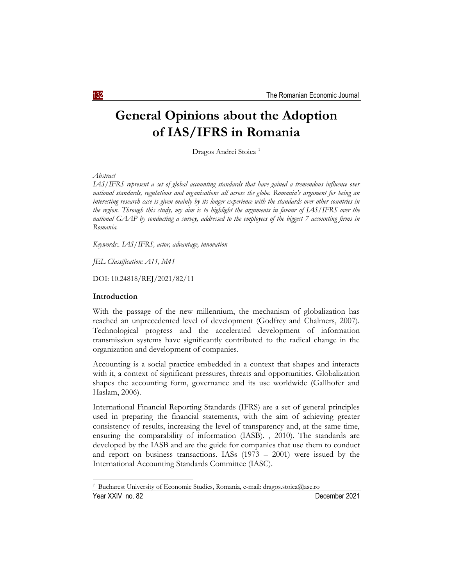# **General Opinions about the Adoption of IAS/IFRS in Romania**

Dragos Andrei Stoica<sup>1</sup>

### *Abstract*

*IAS/IFRS represent a set of global accounting standards that have gained a tremendous influence over national standards, regulations and organisations all across the globe. Romania's argument for being an interesting research case is given mainly by its longer experience with the standards over other countries in the region. Through this study, my aim is to highlight the arguments in favour of IAS/IFRS over the national GAAP by conducting a survey, addressed to the employees of the biggest 7 accounting firms in Romania.*

*Keywords:. IAS/IFRS, actor, advantage, innovation*

*JEL Classification: A11, M41*

DOI: 10.24818/REJ/2021/82/11

#### **Introduction**

With the passage of the new millennium, the mechanism of globalization has reached an unprecedented level of development (Godfrey and Chalmers, 2007). Technological progress and the accelerated development of information transmission systems have significantly contributed to the radical change in the organization and development of companies.

Accounting is a social practice embedded in a context that shapes and interacts with it, a context of significant pressures, threats and opportunities. Globalization shapes the accounting form, governance and its use worldwide (Gallhofer and Haslam, 2006).

International Financial Reporting Standards (IFRS) are a set of general principles used in preparing the financial statements, with the aim of achieving greater consistency of results, increasing the level of transparency and, at the same time, ensuring the comparability of information (IASB). , 2010). The standards are developed by the IASB and are the guide for companies that use them to conduct and report on business transactions. IASs  $(1973 - 2001)$  were issued by the International Accounting Standards Committee (IASC).

Year XXIV no. 82 December 2021 Bucharest University of Economic Studies, Romania, e-mail: dragos.stoica@ase.ro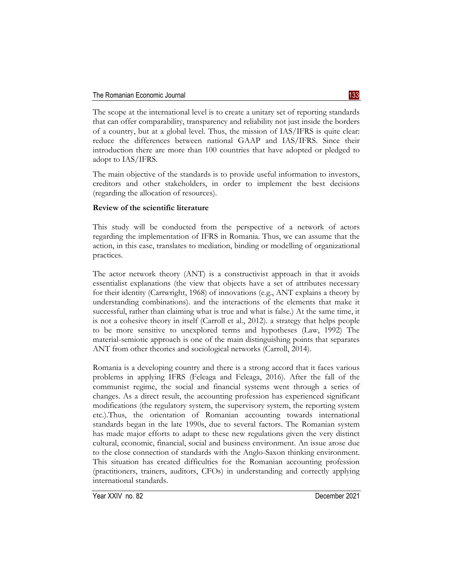The scope at the international level is to create a unitary set of reporting standards that can offer comparability, transparency and reliability not just inside the borders of a country, but at a global level. Thus, the mission of IAS/IFRS is quite clear: reduce the differences between national GAAP and IAS/IFRS. Since their introduction there are more than 100 countries that have adopted or pledged to adopt to IAS/IFRS.

The main objective of the standards is to provide useful information to investors, creditors and other stakeholders, in order to implement the best decisions (regarding the allocation of resources).

# **Review of the scientific literature**

This study will be conducted from the perspective of a network of actors regarding the implementation of IFRS in Romania. Thus, we can assume that the action, in this case, translates to mediation, binding or modelling of organizational practices.

The actor network theory (ANT) is a constructivist approach in that it avoids essentialist explanations (the view that objects have a set of attributes necessary for their identity (Cartwright, 1968) of innovations (e.g., ANT explains a theory by understanding combinations). and the interactions of the elements that make it successful, rather than claiming what is true and what is false.) At the same time, it is not a cohesive theory in itself (Carroll et al., 2012). a strategy that helps people to be more sensitive to unexplored terms and hypotheses (Law, 1992) The material-semiotic approach is one of the main distinguishing points that separates ANT from other theories and sociological networks (Carroll, 2014).

Romania is a developing country and there is a strong accord that it faces various problems in applying IFRS (Feleaga and Feleaga, 2016). After the fall of the communist regime, the social and financial systems went through a series of changes. As a direct result, the accounting profession has experienced significant modifications (the regulatory system, the supervisory system, the reporting system etc.).Thus, the orientation of Romanian accounting towards international standards began in the late 1990s, due to several factors. The Romanian system has made major efforts to adapt to these new regulations given the very distinct cultural, economic, financial, social and business environment. An issue arose due to the close connection of standards with the Anglo-Saxon thinking environment. This situation has created difficulties for the Romanian accounting profession (practitioners, trainers, auditors, CFOs) in understanding and correctly applying international standards.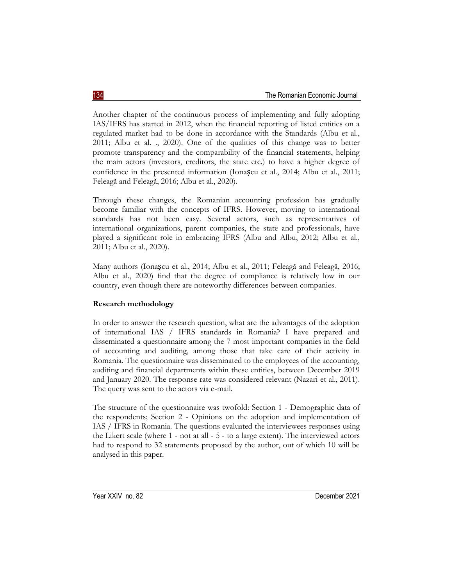Another chapter of the continuous process of implementing and fully adopting IAS/IFRS has started in 2012, when the financial reporting of listed entities on a regulated market had to be done in accordance with the Standards (Albu et al., 2011; Albu et al. ., 2020). One of the qualities of this change was to better promote transparency and the comparability of the financial statements, helping the main actors (investors, creditors, the state etc.) to have a higher degree of confidence in the presented information (Ionașcu et al., 2014; Albu et al., 2011; Feleagă and Feleagă, 2016; Albu et al., 2020).

Through these changes, the Romanian accounting profession has gradually become familiar with the concepts of IFRS. However, moving to international standards has not been easy. Several actors, such as representatives of international organizations, parent companies, the state and professionals, have played a significant role in embracing IFRS (Albu and Albu, 2012; Albu et al., 2011; Albu et al., 2020).

Many authors (Ionașcu et al., 2014; Albu et al., 2011; Feleagă and Feleagă, 2016; Albu et al., 2020) find that the degree of compliance is relatively low in our country, even though there are noteworthy differences between companies.

# **Research methodology**

In order to answer the research question, what are the advantages of the adoption of international IAS / IFRS standards in Romania? I have prepared and disseminated a questionnaire among the 7 most important companies in the field of accounting and auditing, among those that take care of their activity in Romania. The questionnaire was disseminated to the employees of the accounting, auditing and financial departments within these entities, between December 2019 and January 2020. The response rate was considered relevant (Nazari et al., 2011). The query was sent to the actors via e-mail.

The structure of the questionnaire was twofold: Section 1 - Demographic data of the respondents; Section 2 - Opinions on the adoption and implementation of IAS / IFRS in Romania. The questions evaluated the interviewees responses using the Likert scale (where 1 - not at all - 5 - to a large extent). The interviewed actors had to respond to 32 statements proposed by the author, out of which 10 will be analysed in this paper.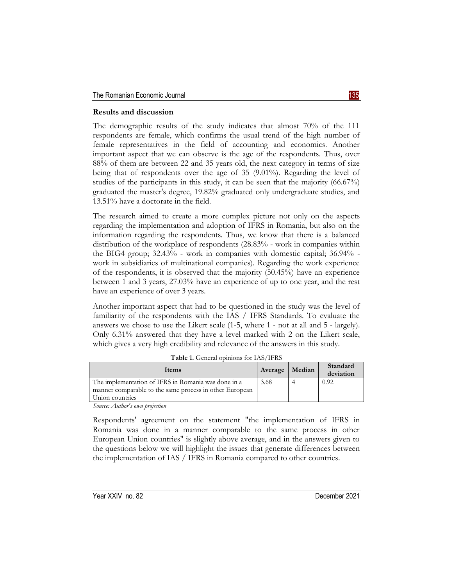## **Results and discussion**

The demographic results of the study indicates that almost 70% of the 111 respondents are female, which confirms the usual trend of the high number of female representatives in the field of accounting and economics. Another important aspect that we can observe is the age of the respondents. Thus, over 88% of them are between 22 and 35 years old, the next category in terms of size being that of respondents over the age of 35 (9.01%). Regarding the level of studies of the participants in this study, it can be seen that the majority (66.67%) graduated the master's degree, 19.82% graduated only undergraduate studies, and 13.51% have a doctorate in the field.

The research aimed to create a more complex picture not only on the aspects regarding the implementation and adoption of IFRS in Romania, but also on the information regarding the respondents. Thus, we know that there is a balanced distribution of the workplace of respondents (28.83% - work in companies within the BIG4 group; 32.43% - work in companies with domestic capital; 36.94% work in subsidiaries of multinational companies). Regarding the work experience of the respondents, it is observed that the majority (50.45%) have an experience between 1 and 3 years, 27.03% have an experience of up to one year, and the rest have an experience of over 3 years.

Another important aspect that had to be questioned in the study was the level of familiarity of the respondents with the IAS / IFRS Standards. To evaluate the answers we chose to use the Likert scale (1-5, where 1 - not at all and 5 - largely). Only 6.31% answered that they have a level marked with 2 on the Likert scale, which gives a very high credibility and relevance of the answers in this study.

| Items                                                   | Average | Median | Standard<br>deviation |
|---------------------------------------------------------|---------|--------|-----------------------|
| The implementation of IFRS in Romania was done in a     | 3.68    |        | 0.92                  |
| manner comparable to the same process in other European |         |        |                       |
| Union countries                                         |         |        |                       |
| $\mathcal{C}$ and $\mathcal{C}$                         |         |        |                       |

**Table 1.** General opinions for IAS/IFRS

*Source: Author's own projection*

Respondents' agreement on the statement "the implementation of IFRS in Romania was done in a manner comparable to the same process in other European Union countries" is slightly above average, and in the answers given to the questions below we will highlight the issues that generate differences between the implementation of IAS / IFRS in Romania compared to other countries.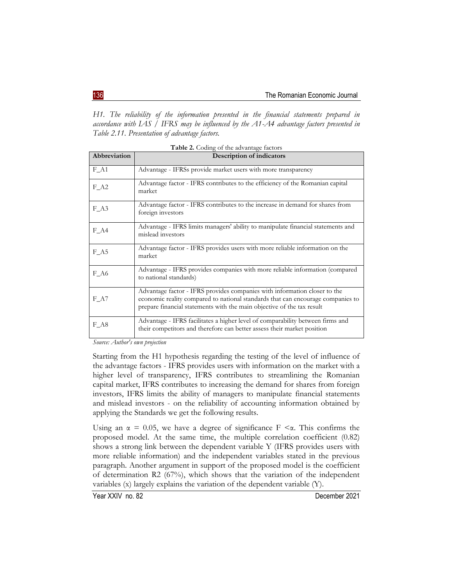*H1. The reliability of the information presented in the financial statements prepared in accordance with IAS / IFRS may be influenced by the A1-A4 advantage factors presented in Table 2.11. Presentation of advantage factors.*

| <b>Twore <math>\Xi</math>.</b> Country of the authorities ractions |                                                                                                                                                                                                                                        |  |
|--------------------------------------------------------------------|----------------------------------------------------------------------------------------------------------------------------------------------------------------------------------------------------------------------------------------|--|
| Abbreviation                                                       | <b>Description of indicators</b>                                                                                                                                                                                                       |  |
| $F_A1$                                                             | Advantage - IFRSs provide market users with more transparency                                                                                                                                                                          |  |
| $F_A2$                                                             | Advantage factor - IFRS contributes to the efficiency of the Romanian capital<br>market                                                                                                                                                |  |
| $F_A3$                                                             | Advantage factor - IFRS contributes to the increase in demand for shares from<br>foreign investors                                                                                                                                     |  |
| $F_A4$                                                             | Advantage - IFRS limits managers' ability to manipulate financial statements and<br>mislead investors                                                                                                                                  |  |
| $F_A5$                                                             | Advantage factor - IFRS provides users with more reliable information on the<br>market                                                                                                                                                 |  |
| F A6                                                               | Advantage - IFRS provides companies with more reliable information (compared<br>to national standards)                                                                                                                                 |  |
| $F_A7$                                                             | Advantage factor - IFRS provides companies with information closer to the<br>economic reality compared to national standards that can encourage companies to<br>prepare financial statements with the main objective of the tax result |  |
| $F_A8$                                                             | Advantage - IFRS facilitates a higher level of comparability between firms and<br>their competitors and therefore can better assess their market position                                                                              |  |

**Table 2.** Coding of the advantage factors

*Source: Author's own projection*

Starting from the H1 hypothesis regarding the testing of the level of influence of the advantage factors - IFRS provides users with information on the market with a higher level of transparency, IFRS contributes to streamlining the Romanian capital market, IFRS contributes to increasing the demand for shares from foreign investors, IFRS limits the ability of managers to manipulate financial statements and mislead investors - on the reliability of accounting information obtained by applying the Standards we get the following results.

Using an  $\alpha = 0.05$ , we have a degree of significance  $F \leq \alpha$ . This confirms the proposed model. At the same time, the multiple correlation coefficient (0.82) shows a strong link between the dependent variable Y (IFRS provides users with more reliable information) and the independent variables stated in the previous paragraph. Another argument in support of the proposed model is the coefficient of determination  $R2(67%)$ , which shows that the variation of the independent variables (x) largely explains the variation of the dependent variable (Y).

Year XXIV no. 82 December 2021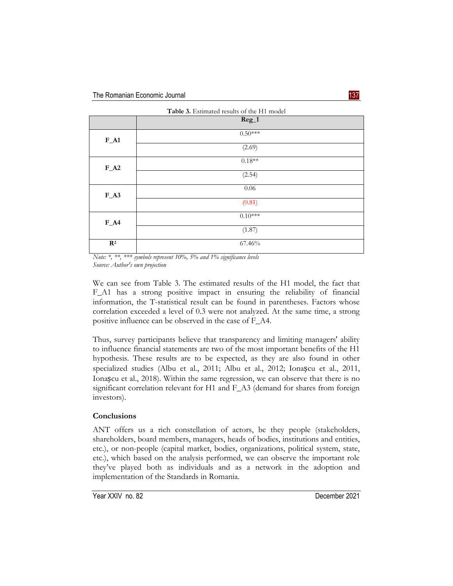|                | Table 3. Estimated results of the H1 model |
|----------------|--------------------------------------------|
|                | $Reg_1$                                    |
| $F_A1$         | $0.50***$                                  |
|                | (2.69)                                     |
| $F_A2$         | $0.18**$                                   |
|                | (2.54)                                     |
| $F_A3$         | $0.06\,$                                   |
|                | (0.81)                                     |
| $F_A4$         | $0.10^{***}$                               |
|                | (1.87)                                     |
| $\mathbf{R}^2$ | 67.46%                                     |

*Note: \*, \*\*, \*\*\* symbols represent 10%, 5% and 1% significance levels Source: Author's own projection*

We can see from Table 3. The estimated results of the H1 model, the fact that F\_A1 has a strong positive impact in ensuring the reliability of financial information, the T-statistical result can be found in parentheses. Factors whose correlation exceeded a level of 0.3 were not analyzed. At the same time, a strong positive influence can be observed in the case of F\_A4.

Thus, survey participants believe that transparency and limiting managers' ability to influence financial statements are two of the most important benefits of the H1 hypothesis. These results are to be expected, as they are also found in other specialized studies (Albu et al., 2011; Albu et al., 2012; Ionașcu et al., 2011, Ionașcu et al., 2018). Within the same regression, we can observe that there is no significant correlation relevant for H1 and F\_A3 (demand for shares from foreign investors).

# **Conclusions**

ANT offers us a rich constellation of actors, be they people (stakeholders, shareholders, board members, managers, heads of bodies, institutions and entities, etc.), or non-people (capital market, bodies, organizations, political system, state, etc.), which based on the analysis performed, we can observe the important role they've played both as individuals and as a network in the adoption and implementation of the Standards in Romania.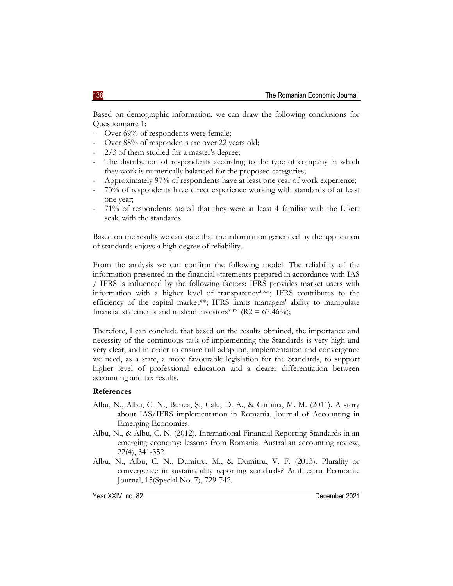Based on demographic information, we can draw the following conclusions for Questionnaire 1:

- Over 69% of respondents were female;
- Over 88% of respondents are over 22 years old;
- 2/3 of them studied for a master's degree;
- The distribution of respondents according to the type of company in which they work is numerically balanced for the proposed categories;
- Approximately 97% of respondents have at least one year of work experience;
- 73% of respondents have direct experience working with standards of at least one year;
- 71% of respondents stated that they were at least 4 familiar with the Likert scale with the standards.

Based on the results we can state that the information generated by the application of standards enjoys a high degree of reliability.

From the analysis we can confirm the following model: The reliability of the information presented in the financial statements prepared in accordance with IAS / IFRS is influenced by the following factors: IFRS provides market users with information with a higher level of transparency\*\*\*; IFRS contributes to the efficiency of the capital market\*\*; IFRS limits managers' ability to manipulate financial statements and mislead investors\*\*\* ( $R2 = 67.46\%$ );

Therefore, I can conclude that based on the results obtained, the importance and necessity of the continuous task of implementing the Standards is very high and very clear, and in order to ensure full adoption, implementation and convergence we need, as a state, a more favourable legislation for the Standards, to support higher level of professional education and a clearer differentiation between accounting and tax results.

### **References**

- Albu, N., Albu, C. N., Bunea, Ş., Calu, D. A., & Girbina, M. M. (2011). A story about IAS/IFRS implementation in Romania. Journal of Accounting in Emerging Economies.
- Albu, N., & Albu, C. N. (2012). International Financial Reporting Standards in an emerging economy: lessons from Romania. Australian accounting review, 22(4), 341-352.
- Albu, N., Albu, C. N., Dumitru, M., & Dumitru, V. F. (2013). Plurality or convergence in sustainability reporting standards? Amfiteatru Economic Journal, 15(Special No. 7), 729-742.